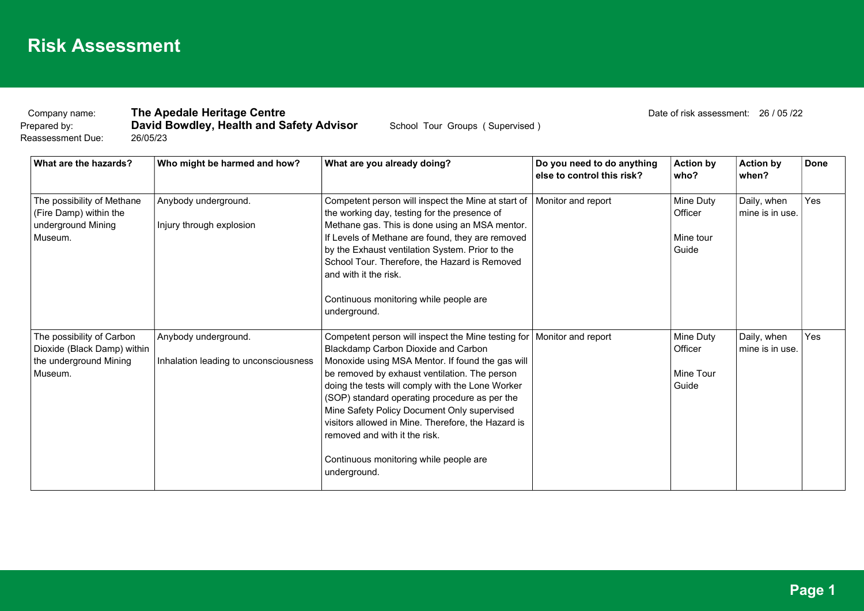Reassessment Due: 26/05/23

#### Company name: **The Apedale Heritage Centre Company 1996** Date of risk assessment: 26 / 05 /22

Prepared by: **David Bowdley, Health and Safety Advisor** School Tour Groups (Supervised)

| What are the hazards?                                                                         | Who might be harmed and how?                                  | What are you already doing?                                                                                                                                                                                                                                                                                                                                                                                                                                                                                              | Do you need to do anything<br>else to control this risk? | <b>Action by</b><br>who?                   | <b>Action by</b><br>when?      | <b>Done</b> |
|-----------------------------------------------------------------------------------------------|---------------------------------------------------------------|--------------------------------------------------------------------------------------------------------------------------------------------------------------------------------------------------------------------------------------------------------------------------------------------------------------------------------------------------------------------------------------------------------------------------------------------------------------------------------------------------------------------------|----------------------------------------------------------|--------------------------------------------|--------------------------------|-------------|
| The possibility of Methane<br>(Fire Damp) within the<br>underground Mining<br>Museum.         | Anybody underground.<br>Injury through explosion              | Competent person will inspect the Mine at start of<br>the working day, testing for the presence of<br>Methane gas. This is done using an MSA mentor.<br>If Levels of Methane are found, they are removed<br>by the Exhaust ventilation System. Prior to the<br>School Tour. Therefore, the Hazard is Removed<br>and with it the risk.<br>Continuous monitoring while people are<br>underground.                                                                                                                          | Monitor and report                                       | Mine Duty<br>Officer<br>Mine tour<br>Guide | Daily, when<br>mine is in use. | Yes         |
| The possibility of Carbon<br>Dioxide (Black Damp) within<br>the underground Mining<br>Museum. | Anybody underground.<br>Inhalation leading to unconsciousness | Competent person will inspect the Mine testing for   Monitor and report<br>Blackdamp Carbon Dioxide and Carbon<br>Monoxide using MSA Mentor. If found the gas will<br>be removed by exhaust ventilation. The person<br>doing the tests will comply with the Lone Worker<br>(SOP) standard operating procedure as per the<br>Mine Safety Policy Document Only supervised<br>visitors allowed in Mine. Therefore, the Hazard is<br>removed and with it the risk.<br>Continuous monitoring while people are<br>underground. |                                                          | Mine Duty<br>Officer<br>Mine Tour<br>Guide | Daily, when<br>mine is in use. | Yes         |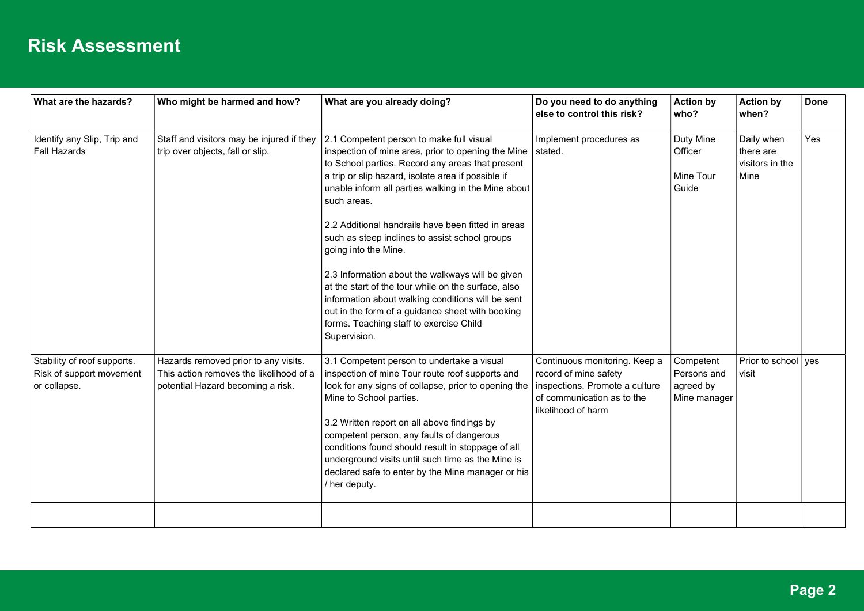| What are the hazards?                                                   | Who might be harmed and how?                                                                                         | What are you already doing?                                                                                                                                                                                                                                                                                                                                                                                                                                                                                                                                                                                                                                                                   | Do you need to do anything<br>else to control this risk?                                                                                     | <b>Action by</b><br>who?                              | <b>Action by</b><br>when?                          | <b>Done</b> |
|-------------------------------------------------------------------------|----------------------------------------------------------------------------------------------------------------------|-----------------------------------------------------------------------------------------------------------------------------------------------------------------------------------------------------------------------------------------------------------------------------------------------------------------------------------------------------------------------------------------------------------------------------------------------------------------------------------------------------------------------------------------------------------------------------------------------------------------------------------------------------------------------------------------------|----------------------------------------------------------------------------------------------------------------------------------------------|-------------------------------------------------------|----------------------------------------------------|-------------|
| Identify any Slip, Trip and<br><b>Fall Hazards</b>                      | Staff and visitors may be injured if they<br>trip over objects, fall or slip.                                        | 2.1 Competent person to make full visual<br>inspection of mine area, prior to opening the Mine<br>to School parties. Record any areas that present<br>a trip or slip hazard, isolate area if possible if<br>unable inform all parties walking in the Mine about<br>such areas.<br>2.2 Additional handrails have been fitted in areas<br>such as steep inclines to assist school groups<br>going into the Mine.<br>2.3 Information about the walkways will be given<br>at the start of the tour while on the surface, also<br>information about walking conditions will be sent<br>out in the form of a guidance sheet with booking<br>forms. Teaching staff to exercise Child<br>Supervision. | Implement procedures as<br>stated.                                                                                                           | Duty Mine<br>Officer<br>Mine Tour<br>Guide            | Daily when<br>there are<br>visitors in the<br>Mine | Yes         |
| Stability of roof supports.<br>Risk of support movement<br>or collapse. | Hazards removed prior to any visits.<br>This action removes the likelihood of a<br>potential Hazard becoming a risk. | 3.1 Competent person to undertake a visual<br>inspection of mine Tour route roof supports and<br>look for any signs of collapse, prior to opening the<br>Mine to School parties.<br>3.2 Written report on all above findings by<br>competent person, any faults of dangerous<br>conditions found should result in stoppage of all<br>underground visits until such time as the Mine is<br>declared safe to enter by the Mine manager or his<br>/ her deputy.                                                                                                                                                                                                                                  | Continuous monitoring. Keep a<br>record of mine safety<br>inspections. Promote a culture<br>of communication as to the<br>likelihood of harm | Competent<br>Persons and<br>agreed by<br>Mine manager | Prior to school $\sqrt{ }$ yes<br>visit            |             |
|                                                                         |                                                                                                                      |                                                                                                                                                                                                                                                                                                                                                                                                                                                                                                                                                                                                                                                                                               |                                                                                                                                              |                                                       |                                                    |             |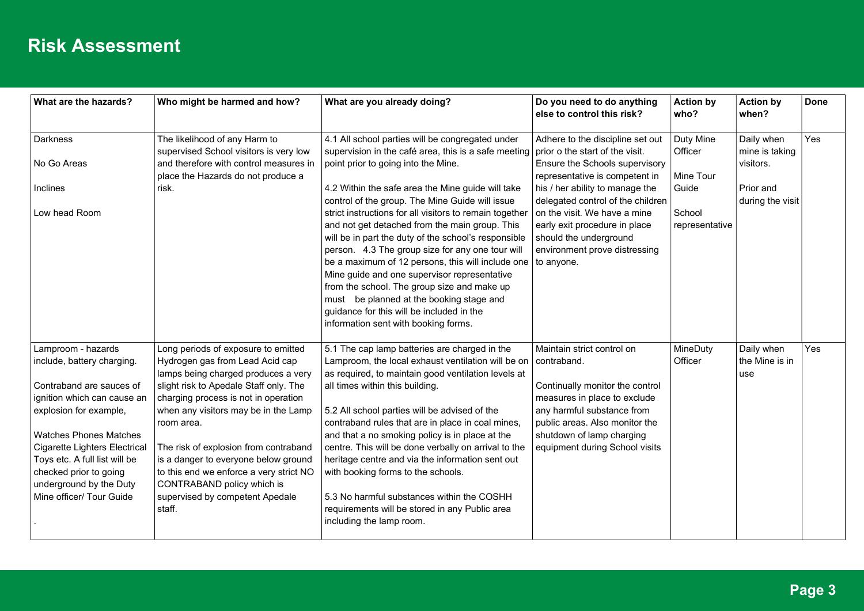| What are the hazards?                                                                                                                                                                                                                                                        | Who might be harmed and how?                                                                                                                                                                                                                                                                                                                | What are you already doing?                                                                                                                                                                                                                                                                                                                                                                                                                                                                                | Do you need to do anything<br>else to control this risk?                                                                                                                                       | <b>Action by</b><br>who? | <b>Action by</b><br>when?                 | Done |
|------------------------------------------------------------------------------------------------------------------------------------------------------------------------------------------------------------------------------------------------------------------------------|---------------------------------------------------------------------------------------------------------------------------------------------------------------------------------------------------------------------------------------------------------------------------------------------------------------------------------------------|------------------------------------------------------------------------------------------------------------------------------------------------------------------------------------------------------------------------------------------------------------------------------------------------------------------------------------------------------------------------------------------------------------------------------------------------------------------------------------------------------------|------------------------------------------------------------------------------------------------------------------------------------------------------------------------------------------------|--------------------------|-------------------------------------------|------|
| <b>Darkness</b><br>No Go Areas                                                                                                                                                                                                                                               | The likelihood of any Harm to<br>supervised School visitors is very low<br>and therefore with control measures in                                                                                                                                                                                                                           | 4.1 All school parties will be congregated under<br>supervision in the café area, this is a safe meeting<br>point prior to going into the Mine.                                                                                                                                                                                                                                                                                                                                                            | Adhere to the discipline set out<br>prior o the start of the visit.<br>Ensure the Schools supervisory                                                                                          | Duty Mine<br>Officer     | Daily when<br>mine is taking<br>visitors. | Yes  |
|                                                                                                                                                                                                                                                                              | place the Hazards do not produce a                                                                                                                                                                                                                                                                                                          |                                                                                                                                                                                                                                                                                                                                                                                                                                                                                                            | representative is competent in                                                                                                                                                                 | Mine Tour                |                                           |      |
| Inclines                                                                                                                                                                                                                                                                     | risk.                                                                                                                                                                                                                                                                                                                                       | 4.2 Within the safe area the Mine guide will take<br>control of the group. The Mine Guide will issue                                                                                                                                                                                                                                                                                                                                                                                                       | his / her ability to manage the<br>delegated control of the children                                                                                                                           | Guide                    | Prior and<br>during the visit             |      |
| Low head Room                                                                                                                                                                                                                                                                |                                                                                                                                                                                                                                                                                                                                             | strict instructions for all visitors to remain together<br>and not get detached from the main group. This<br>will be in part the duty of the school's responsible<br>person. 4.3 The group size for any one tour will<br>be a maximum of 12 persons, this will include one<br>Mine guide and one supervisor representative<br>from the school. The group size and make up<br>must be planned at the booking stage and<br>quidance for this will be included in the<br>information sent with booking forms. | on the visit. We have a mine<br>early exit procedure in place<br>should the underground<br>environment prove distressing<br>to anyone.                                                         | School<br>representative |                                           |      |
| Lamproom - hazards<br>include, battery charging.                                                                                                                                                                                                                             | Long periods of exposure to emitted<br>Hydrogen gas from Lead Acid cap<br>lamps being charged produces a very                                                                                                                                                                                                                               | 5.1 The cap lamp batteries are charged in the<br>Lamproom, the local exhaust ventilation will be on $ $ contraband.<br>as required, to maintain good ventilation levels at                                                                                                                                                                                                                                                                                                                                 | Maintain strict control on                                                                                                                                                                     | MineDuty<br>Officer      | Daily when<br>the Mine is in<br>use       | Yes  |
| Contraband are sauces of<br>ignition which can cause an<br>explosion for example,<br><b>Watches Phones Matches</b><br><b>Cigarette Lighters Electrical</b><br>Toys etc. A full list will be<br>checked prior to going<br>underground by the Duty<br>Mine officer/ Tour Guide | slight risk to Apedale Staff only. The<br>charging process is not in operation<br>when any visitors may be in the Lamp<br>room area.<br>The risk of explosion from contraband<br>is a danger to everyone below ground<br>to this end we enforce a very strict NO<br>CONTRABAND policy which is<br>supervised by competent Apedale<br>staff. | all times within this building.<br>5.2 All school parties will be advised of the<br>contraband rules that are in place in coal mines,<br>and that a no smoking policy is in place at the<br>centre. This will be done verbally on arrival to the<br>heritage centre and via the information sent out<br>with booking forms to the schools.<br>5.3 No harmful substances within the COSHH<br>requirements will be stored in any Public area<br>including the lamp room.                                     | Continually monitor the control<br>measures in place to exclude<br>any harmful substance from<br>public areas. Also monitor the<br>shutdown of lamp charging<br>equipment during School visits |                          |                                           |      |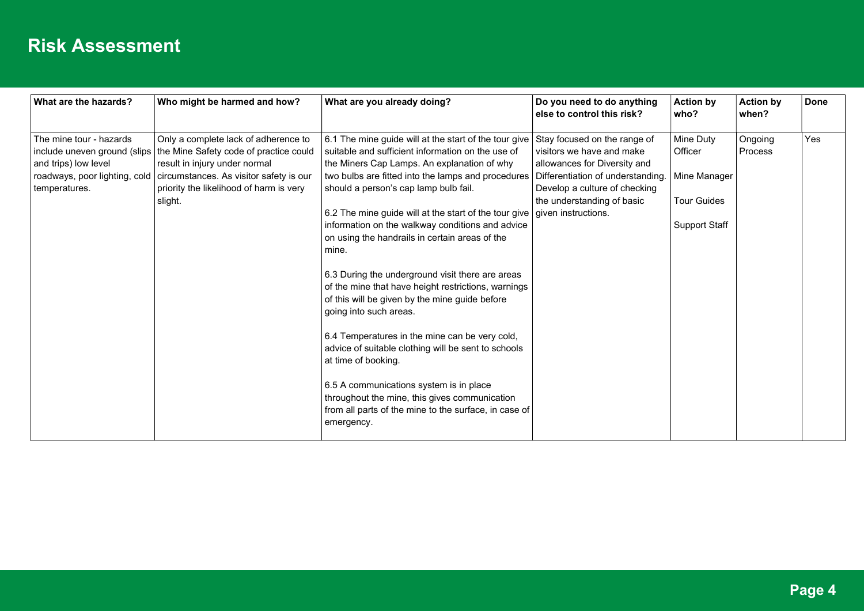| What are the hazards?                                                                                                             | Who might be harmed and how?                                                                                                                                                                                     | What are you already doing?                                                                                                                                                                                                                                                                                                                                                                                                                                                                                                                                                                                                                                                                                                                                                                                                                                                                                                                        | Do you need to do anything<br>else to control this risk?                                                                                                                                      | <b>Action by</b><br>who?                                                           | <b>Action by</b><br>when? | <b>Done</b> |
|-----------------------------------------------------------------------------------------------------------------------------------|------------------------------------------------------------------------------------------------------------------------------------------------------------------------------------------------------------------|----------------------------------------------------------------------------------------------------------------------------------------------------------------------------------------------------------------------------------------------------------------------------------------------------------------------------------------------------------------------------------------------------------------------------------------------------------------------------------------------------------------------------------------------------------------------------------------------------------------------------------------------------------------------------------------------------------------------------------------------------------------------------------------------------------------------------------------------------------------------------------------------------------------------------------------------------|-----------------------------------------------------------------------------------------------------------------------------------------------------------------------------------------------|------------------------------------------------------------------------------------|---------------------------|-------------|
| The mine tour - hazards<br>include uneven ground (slips<br>and trips) low level<br>roadways, poor lighting, cold<br>temperatures. | Only a complete lack of adherence to<br>the Mine Safety code of practice could<br>result in injury under normal<br>circumstances. As visitor safety is our<br>priority the likelihood of harm is very<br>slight. | 6.1 The mine guide will at the start of the tour give<br>suitable and sufficient information on the use of<br>the Miners Cap Lamps. An explanation of why<br>two bulbs are fitted into the lamps and procedures<br>should a person's cap lamp bulb fail.<br>6.2 The mine guide will at the start of the tour give $ $ given instructions.<br>information on the walkway conditions and advice<br>on using the handrails in certain areas of the<br>mine.<br>6.3 During the underground visit there are areas<br>of the mine that have height restrictions, warnings<br>of this will be given by the mine guide before<br>going into such areas.<br>6.4 Temperatures in the mine can be very cold,<br>advice of suitable clothing will be sent to schools<br>at time of booking.<br>6.5 A communications system is in place<br>throughout the mine, this gives communication<br>from all parts of the mine to the surface, in case of<br>emergency. | Stay focused on the range of<br>visitors we have and make<br>allowances for Diversity and<br>Differentiation of understanding.<br>Develop a culture of checking<br>the understanding of basic | Mine Duty<br>Officer<br>Mine Manager<br><b>Tour Guides</b><br><b>Support Staff</b> | Ongoing<br>Process        | Yes         |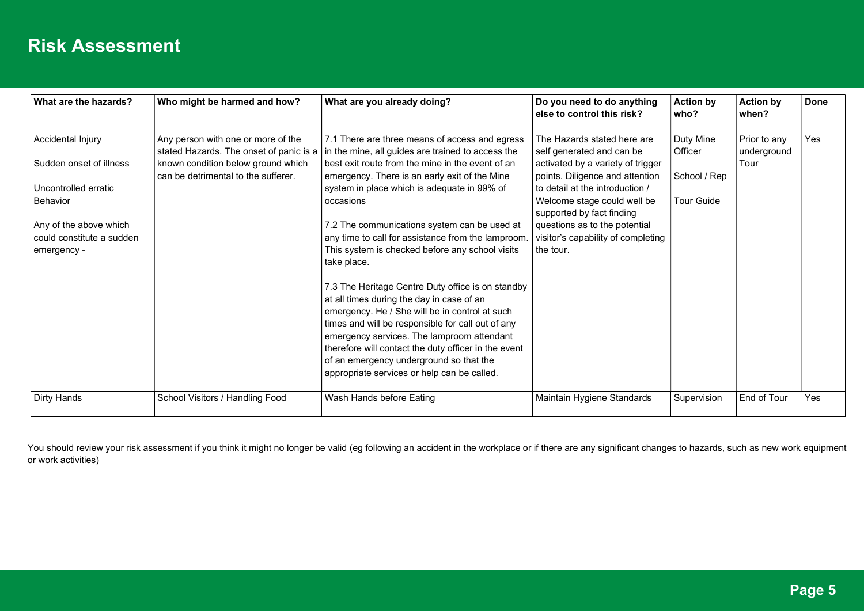| What are the hazards?     | Who might be harmed and how?                                                  | What are you already doing?                                                                                                                                                                                                                                                                                                                                                                           | Do you need to do anything<br>else to control this risk?             | <b>Action by</b><br>who? | <b>Action by</b><br>when?   | Done |
|---------------------------|-------------------------------------------------------------------------------|-------------------------------------------------------------------------------------------------------------------------------------------------------------------------------------------------------------------------------------------------------------------------------------------------------------------------------------------------------------------------------------------------------|----------------------------------------------------------------------|--------------------------|-----------------------------|------|
| Accidental Injury         | Any person with one or more of the<br>stated Hazards. The onset of panic is a | 7.1 There are three means of access and egress<br>in the mine, all guides are trained to access the                                                                                                                                                                                                                                                                                                   | The Hazards stated here are<br>self generated and can be             | Duty Mine<br>Officer     | Prior to any<br>underground | Yes  |
| Sudden onset of illness   | known condition below ground which<br>can be detrimental to the sufferer.     | best exit route from the mine in the event of an<br>emergency. There is an early exit of the Mine                                                                                                                                                                                                                                                                                                     | activated by a variety of trigger<br>points. Diligence and attention | School / Rep             | Tour                        |      |
| Uncontrolled erratic      |                                                                               | system in place which is adequate in 99% of                                                                                                                                                                                                                                                                                                                                                           | to detail at the introduction /                                      |                          |                             |      |
| Behavior                  |                                                                               | occasions                                                                                                                                                                                                                                                                                                                                                                                             | Welcome stage could well be<br>supported by fact finding             | <b>Tour Guide</b>        |                             |      |
| Any of the above which    |                                                                               | 7.2 The communications system can be used at                                                                                                                                                                                                                                                                                                                                                          | questions as to the potential                                        |                          |                             |      |
| could constitute a sudden |                                                                               | any time to call for assistance from the lamproom.                                                                                                                                                                                                                                                                                                                                                    | visitor's capability of completing                                   |                          |                             |      |
| emergency -               |                                                                               | This system is checked before any school visits                                                                                                                                                                                                                                                                                                                                                       | the tour.                                                            |                          |                             |      |
|                           |                                                                               | take place.                                                                                                                                                                                                                                                                                                                                                                                           |                                                                      |                          |                             |      |
|                           |                                                                               | 7.3 The Heritage Centre Duty office is on standby<br>at all times during the day in case of an<br>emergency. He / She will be in control at such<br>times and will be responsible for call out of any<br>emergency services. The lamproom attendant<br>therefore will contact the duty officer in the event<br>of an emergency underground so that the<br>appropriate services or help can be called. |                                                                      |                          |                             |      |
| Dirty Hands               | School Visitors / Handling Food                                               | Wash Hands before Eating                                                                                                                                                                                                                                                                                                                                                                              | Maintain Hygiene Standards                                           | Supervision              | End of Tour                 | Yes  |

You should review your risk assessment if you think it might no longer be valid (eg following an accident in the workplace or if there are any significant changes to hazards, such as new work equipment or work activities)